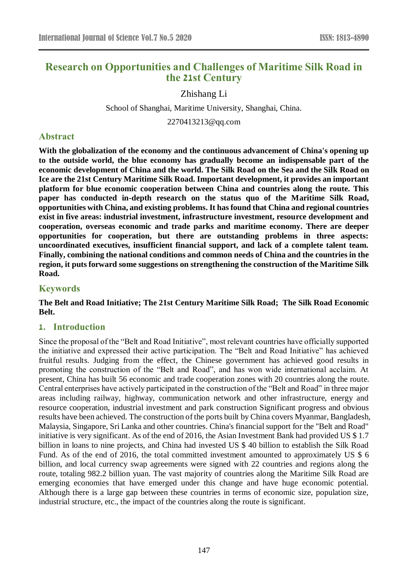# **Research on Opportunities and Challenges of Maritime Silk Road in the 21st Century**

Zhishang Li

School of Shanghai, Maritime University, Shanghai, China.

2270413213@qq.com

# **Abstract**

**With the globalization of the economy and the continuous advancement of China's opening up to the outside world, the blue economy has gradually become an indispensable part of the economic development of China and the world. The Silk Road on the Sea and the Silk Road on Ice are the 21st Century Maritime Silk Road. Important development, it provides an important platform for blue economic cooperation between China and countries along the route. This paper has conducted in-depth research on the status quo of the Maritime Silk Road, opportunities with China, and existing problems. It has found that China and regional countries exist in five areas: industrial investment, infrastructure investment, resource development and cooperation, overseas economic and trade parks and maritime economy. There are deeper opportunities for cooperation, but there are outstanding problems in three aspects: uncoordinated executives, insufficient financial support, and lack of a complete talent team. Finally, combining the national conditions and common needs of China and the countries in the region, it puts forward some suggestions on strengthening the construction of the Maritime Silk Road.**

## **Keywords**

### **The Belt and Road Initiative; The 21st Century Maritime Silk Road; The Silk Road Economic Belt.**

# **1. Introduction**

Since the proposal of the "Belt and Road Initiative", most relevant countries have officially supported the initiative and expressed their active participation. The "Belt and Road Initiative" has achieved fruitful results. Judging from the effect, the Chinese government has achieved good results in promoting the construction of the "Belt and Road", and has won wide international acclaim. At present, China has built 56 economic and trade cooperation zones with 20 countries along the route. Central enterprises have actively participated in the construction of the "Belt and Road" in three major areas including railway, highway, communication network and other infrastructure, energy and resource cooperation, industrial investment and park construction Significant progress and obvious results have been achieved. The construction of the ports built by China covers Myanmar, Bangladesh, Malaysia, Singapore, Sri Lanka and other countries. China's financial support for the "Belt and Road" initiative is very significant. As of the end of 2016, the Asian Investment Bank had provided US \$ 1.7 billion in loans to nine projects, and China had invested US \$ 40 billion to establish the Silk Road Fund. As of the end of 2016, the total committed investment amounted to approximately US \$ 6 billion, and local currency swap agreements were signed with 22 countries and regions along the route, totaling 982.2 billion yuan. The vast majority of countries along the Maritime Silk Road are emerging economies that have emerged under this change and have huge economic potential. Although there is a large gap between these countries in terms of economic size, population size, industrial structure, etc., the impact of the countries along the route is significant.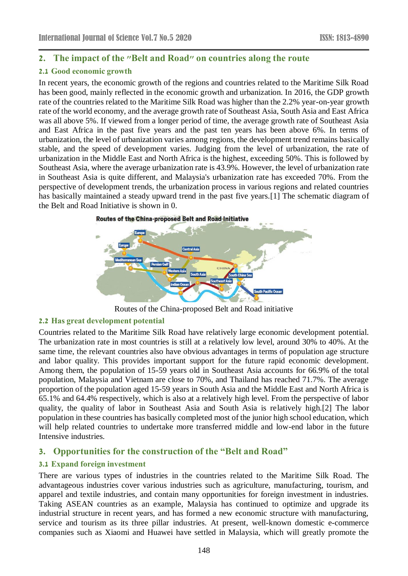# **2. The impact of the "Belt and Road" on countries along the route**

# **2.1 Good economic growth**

In recent years, the economic growth of the regions and countries related to the Maritime Silk Road has been good, mainly reflected in the economic growth and urbanization. In 2016, the GDP growth rate of the countries related to the Maritime Silk Road was higher than the 2.2% year-on-year growth rate of the world economy, and the average growth rate of Southeast Asia, South Asia and East Africa was all above 5%. If viewed from a longer period of time, the average growth rate of Southeast Asia and East Africa in the past five years and the past ten years has been above 6%. In terms of urbanization, the level of urbanization varies among regions, the development trend remains basically stable, and the speed of development varies. Judging from the level of urbanization, the rate of urbanization in the Middle East and North Africa is the highest, exceeding 50%. This is followed by Southeast Asia, where the average urbanization rate is 43.9%. However, the level of urbanization rate in Southeast Asia is quite different, and Malaysia's urbanization rate has exceeded 70%. From the perspective of development trends, the urbanization process in various regions and related countries has basically maintained a steady upward trend in the past five years[.\[1\]](#page-6-0) The schematic diagram of the Belt and Road Initiative is shown in [0.](#page-1-0)



Routes of the China-proposed Belt and Road initiative

# <span id="page-1-0"></span>**2.2 Has great development potential**

Countries related to the Maritime Silk Road have relatively large economic development potential. The urbanization rate in most countries is still at a relatively low level, around 30% to 40%. At the same time, the relevant countries also have obvious advantages in terms of population age structure and labor quality. This provides important support for the future rapid economic development. Among them, the population of 15-59 years old in Southeast Asia accounts for 66.9% of the total population, Malaysia and Vietnam are close to 70%, and Thailand has reached 71.7%. The average proportion of the population aged 15-59 years in South Asia and the Middle East and North Africa is 65.1% and 64.4% respectively, which is also at a relatively high level. From the perspective of labor quality, the quality of labor in Southeast Asia and South Asia is relatively high[.\[2\]](#page-6-1) The labor population in these countries has basically completed most of the junior high school education, which will help related countries to undertake more transferred middle and low-end labor in the future Intensive industries.

# **3. Opportunities for the construction of the "Belt and Road"**

### **3.1 Expand foreign investment**

There are various types of industries in the countries related to the Maritime Silk Road. The advantageous industries cover various industries such as agriculture, manufacturing, tourism, and apparel and textile industries, and contain many opportunities for foreign investment in industries. Taking ASEAN countries as an example, Malaysia has continued to optimize and upgrade its industrial structure in recent years, and has formed a new economic structure with manufacturing, service and tourism as its three pillar industries. At present, well-known domestic e-commerce companies such as Xiaomi and Huawei have settled in Malaysia, which will greatly promote the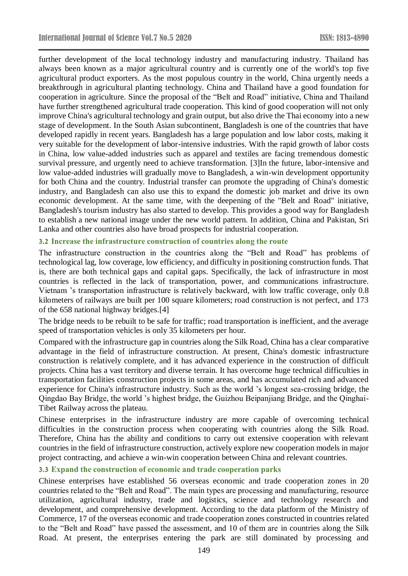further development of the local technology industry and manufacturing industry. Thailand has always been known as a major agricultural country and is currently one of the world's top five agricultural product exporters. As the most populous country in the world, China urgently needs a breakthrough in agricultural planting technology. China and Thailand have a good foundation for cooperation in agriculture. Since the proposal of the "Belt and Road" initiative, China and Thailand have further strengthened agricultural trade cooperation. This kind of good cooperation will not only improve China's agricultural technology and grain output, but also drive the Thai economy into a new stage of development. In the South Asian subcontinent, Bangladesh is one of the countries that have developed rapidly in recent years. Bangladesh has a large population and low labor costs, making it very suitable for the development of labor-intensive industries. With the rapid growth of labor costs in China, low value-added industries such as apparel and textiles are facing tremendous domestic survival pressure, and urgently need to achieve transformation. [\[3\]I](#page-6-2)n the future, labor-intensive and low value-added industries will gradually move to Bangladesh, a win-win development opportunity for both China and the country. Industrial transfer can promote the upgrading of China's domestic industry, and Bangladesh can also use this to expand the domestic job market and drive its own economic development. At the same time, with the deepening of the "Belt and Road" initiative, Bangladesh's tourism industry has also started to develop. This provides a good way for Bangladesh to establish a new national image under the new world pattern. In addition, China and Pakistan, Sri Lanka and other countries also have broad prospects for industrial cooperation.

### **3.2 Increase the infrastructure construction of countries along the route**

The infrastructure construction in the countries along the "Belt and Road" has problems of technological lag, low coverage, low efficiency, and difficulty in positioning construction funds. That is, there are both technical gaps and capital gaps. Specifically, the lack of infrastructure in most countries is reflected in the lack of transportation, power, and communications infrastructure. Vietnam 's transportation infrastructure is relatively backward, with low traffic coverage, only 0.8 kilometers of railways are built per 100 square kilometers; road construction is not perfect, and 173 of the 658 national highway bridges[.\[4\]](#page-6-3)

The bridge needs to be rebuilt to be safe for traffic; road transportation is inefficient, and the average speed of transportation vehicles is only 35 kilometers per hour.

Compared with the infrastructure gap in countries along the Silk Road, China has a clear comparative advantage in the field of infrastructure construction. At present, China's domestic infrastructure construction is relatively complete, and it has advanced experience in the construction of difficult projects. China has a vast territory and diverse terrain. It has overcome huge technical difficulties in transportation facilities construction projects in some areas, and has accumulated rich and advanced experience for China's infrastructure industry. Such as the world 's longest sea-crossing bridge, the Qingdao Bay Bridge, the world 's highest bridge, the Guizhou Beipanjiang Bridge, and the Qinghai-Tibet Railway across the plateau.

Chinese enterprises in the infrastructure industry are more capable of overcoming technical difficulties in the construction process when cooperating with countries along the Silk Road. Therefore, China has the ability and conditions to carry out extensive cooperation with relevant countries in the field of infrastructure construction, actively explore new cooperation models in major project contracting, and achieve a win-win cooperation between China and relevant countries.

#### **3.3 Expand the construction of economic and trade cooperation parks**

Chinese enterprises have established 56 overseas economic and trade cooperation zones in 20 countries related to the "Belt and Road". The main types are processing and manufacturing, resource utilization, agricultural industry, trade and logistics, science and technology research and development, and comprehensive development. According to the data platform of the Ministry of Commerce, 17 of the overseas economic and trade cooperation zones constructed in countries related to the "Belt and Road" have passed the assessment, and 10 of them are in countries along the Silk Road. At present, the enterprises entering the park are still dominated by processing and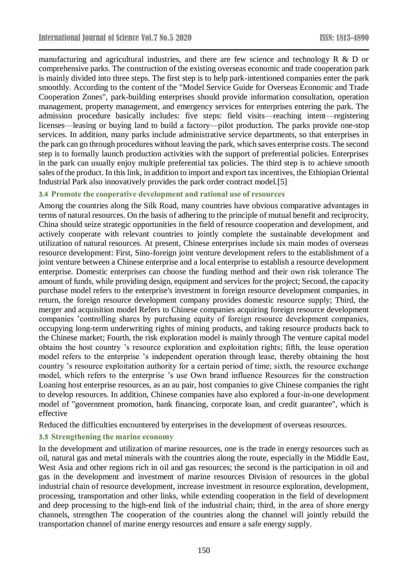manufacturing and agricultural industries, and there are few science and technology R & D or comprehensive parks. The construction of the existing overseas economic and trade cooperation park is mainly divided into three steps. The first step is to help park-intentioned companies enter the park smoothly. According to the content of the "Model Service Guide for Overseas Economic and Trade Cooperation Zones", park-building enterprises should provide information consultation, operation management, property management, and emergency services for enterprises entering the park. The admission procedure basically includes: five steps: field visits—reaching intent—registering licenses—leasing or buying land to build a factory—pilot production. The parks provide one-stop services. In addition, many parks include administrative service departments, so that enterprises in the park can go through procedures without leaving the park, which saves enterprise costs. The second step is to formally launch production activities with the support of preferential policies. Enterprises in the park can usually enjoy multiple preferential tax policies. The third step is to achieve smooth sales of the product. In this link, in addition to import and export tax incentives, the Ethiopian Oriental Industrial Park also innovatively provides the park order contract model[.\[5\]](#page-6-4)

### **3.4 Promote the cooperative development and rational use of resources**

Among the countries along the Silk Road, many countries have obvious comparative advantages in terms of natural resources. On the basis of adhering to the principle of mutual benefit and reciprocity, China should seize strategic opportunities in the field of resource cooperation and development, and actively cooperate with relevant countries to jointly complete the sustainable development and utilization of natural resources. At present, Chinese enterprises include six main modes of overseas resource development: First, Sino-foreign joint venture development refers to the establishment of a joint venture between a Chinese enterprise and a local enterprise to establish a resource development enterprise. Domestic enterprises can choose the funding method and their own risk tolerance The amount of funds, while providing design, equipment and services for the project; Second, the capacity purchase model refers to the enterprise's investment in foreign resource development companies, in return, the foreign resource development company provides domestic resource supply; Third, the merger and acquisition model Refers to Chinese companies acquiring foreign resource development companies 'controlling shares by purchasing equity of foreign resource development companies, occupying long-term underwriting rights of mining products, and taking resource products back to the Chinese market; Fourth, the risk exploration model is mainly through The venture capital model obtains the host country 's resource exploration and exploitation rights; fifth, the lease operation model refers to the enterprise 's independent operation through lease, thereby obtaining the host country 's resource exploitation authority for a certain period of time; sixth, the resource exchange model, which refers to the enterprise 's use Own brand influence Resources for the construction Loaning host enterprise resources, as an au pair, host companies to give Chinese companies the right to develop resources. In addition, Chinese companies have also explored a four-in-one development model of "government promotion, bank financing, corporate loan, and credit guarantee", which is effective

Reduced the difficulties encountered by enterprises in the development of overseas resources.

### **3.5 Strengthening the marine economy**

In the development and utilization of marine resources, one is the trade in energy resources such as oil, natural gas and metal minerals with the countries along the route, especially in the Middle East, West Asia and other regions rich in oil and gas resources; the second is the participation in oil and gas in the development and investment of marine resources Division of resources in the global industrial chain of resource development, increase investment in resource exploration, development, processing, transportation and other links, while extending cooperation in the field of development and deep processing to the high-end link of the industrial chain; third, in the area of shore energy channels, strengthen The cooperation of the countries along the channel will jointly rebuild the transportation channel of marine energy resources and ensure a safe energy supply.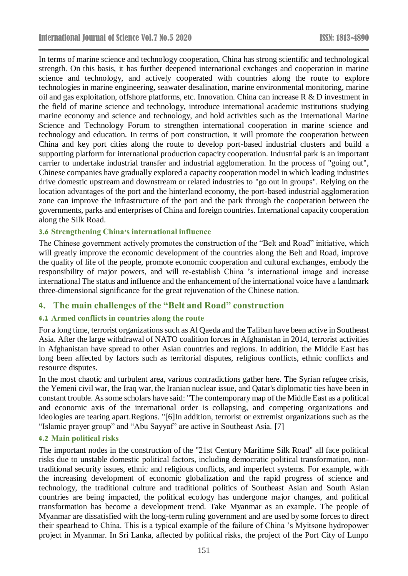In terms of marine science and technology cooperation, China has strong scientific and technological strength. On this basis, it has further deepened international exchanges and cooperation in marine science and technology, and actively cooperated with countries along the route to explore technologies in marine engineering, seawater desalination, marine environmental monitoring, marine oil and gas exploitation, offshore platforms, etc. Innovation. China can increase R & D investment in the field of marine science and technology, introduce international academic institutions studying marine economy and science and technology, and hold activities such as the International Marine Science and Technology Forum to strengthen international cooperation in marine science and technology and education. In terms of port construction, it will promote the cooperation between China and key port cities along the route to develop port-based industrial clusters and build a supporting platform for international production capacity cooperation. Industrial park is an important carrier to undertake industrial transfer and industrial agglomeration. In the process of "going out", Chinese companies have gradually explored a capacity cooperation model in which leading industries drive domestic upstream and downstream or related industries to "go out in groups". Relying on the location advantages of the port and the hinterland economy, the port-based industrial agglomeration zone can improve the infrastructure of the port and the park through the cooperation between the governments, parks and enterprises of China and foreign countries. International capacity cooperation along the Silk Road.

### **3.6 Strengthening China's international influence**

The Chinese government actively promotes the construction of the "Belt and Road" initiative, which will greatly improve the economic development of the countries along the Belt and Road, improve the quality of life of the people, promote economic cooperation and cultural exchanges, embody the responsibility of major powers, and will re-establish China 's international image and increase international The status and influence and the enhancement of the international voice have a landmark three-dimensional significance for the great rejuvenation of the Chinese nation.

# **4. The main challenges of the "Belt and Road" construction**

### **4.1 Armed conflicts in countries along the route**

For a long time, terrorist organizations such as Al Qaeda and the Taliban have been active in Southeast Asia. After the large withdrawal of NATO coalition forces in Afghanistan in 2014, terrorist activities in Afghanistan have spread to other Asian countries and regions. In addition, the Middle East has long been affected by factors such as territorial disputes, religious conflicts, ethnic conflicts and resource disputes.

In the most chaotic and turbulent area, various contradictions gather here. The Syrian refugee crisis, the Yemeni civil war, the Iraq war, the Iranian nuclear issue, and Qatar's diplomatic ties have been in constant trouble. As some scholars have said: "The contemporary map of the Middle East as a political and economic axis of the international order is collapsing, and competing organizations and ideologies are tearing apart.Regions. ["\[6\]I](#page-6-5)n addition, terrorist or extremist organizations such as the "Islamic prayer group" and "Abu Sayyaf" are active in Southeast Asia. [\[7\]](#page-6-6)

# **4.2 Main political risks**

The important nodes in the construction of the "21st Century Maritime Silk Road" all face political risks due to unstable domestic political factors, including democratic political transformation, nontraditional security issues, ethnic and religious conflicts, and imperfect systems. For example, with the increasing development of economic globalization and the rapid progress of science and technology, the traditional culture and traditional politics of Southeast Asian and South Asian countries are being impacted, the political ecology has undergone major changes, and political transformation has become a development trend. Take Myanmar as an example. The people of Myanmar are dissatisfied with the long-term ruling government and are used by some forces to direct their spearhead to China. This is a typical example of the failure of China 's Myitsone hydropower project in Myanmar. In Sri Lanka, affected by political risks, the project of the Port City of Lunpo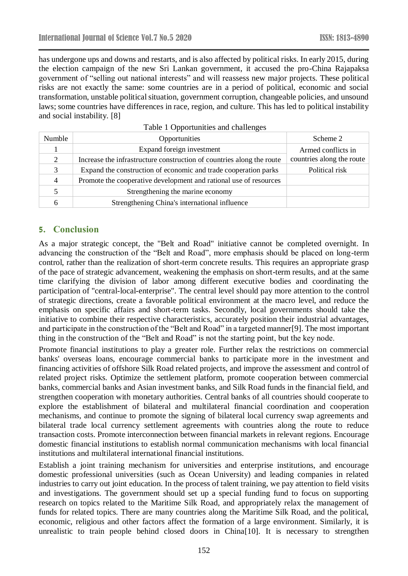has undergone ups and downs and restarts, and is also affected by political risks. In early 2015, during the election campaign of the new Sri Lankan government, it accused the pro-China Rajapaksa government of "selling out national interests" and will reassess new major projects. These political risks are not exactly the same: some countries are in a period of political, economic and social transformation, unstable political situation, government corruption, changeable policies, and unsound laws; some countries have differences in race, region, and culture. This has led to political instability and social instability. [\[8\]](#page-6-7)

| Numble           | Opportunities                                                         | Scheme 2                  |
|------------------|-----------------------------------------------------------------------|---------------------------|
|                  | Expand foreign investment                                             | Armed conflicts in        |
| $\mathfrak{2}^-$ | Increase the infrastructure construction of countries along the route | countries along the route |
| 3                | Expand the construction of economic and trade cooperation parks       | Political risk            |
| $\overline{4}$   | Promote the cooperative development and rational use of resources     |                           |
|                  | Strengthening the marine economy                                      |                           |
|                  | Strengthening China's international influence                         |                           |

#### Table 1 Opportunities and challenges

# **5. Conclusion**

As a major strategic concept, the "Belt and Road" initiative cannot be completed overnight. In advancing the construction of the "Belt and Road", more emphasis should be placed on long-term control, rather than the realization of short-term concrete results. This requires an appropriate grasp of the pace of strategic advancement, weakening the emphasis on short-term results, and at the same time clarifying the division of labor among different executive bodies and coordinating the participation of "central-local-enterprise". The central level should pay more attention to the control of strategic directions, create a favorable political environment at the macro level, and reduce the emphasis on specific affairs and short-term tasks. Secondly, local governments should take the initiative to combine their respective characteristics, accurately position their industrial advantages, and participate in the construction of the "Belt and Road" in a targeted manne[r\[9\].](#page-6-8) The most important thing in the construction of the "Belt and Road" is not the starting point, but the key node.

Promote financial institutions to play a greater role. Further relax the restrictions on commercial banks' overseas loans, encourage commercial banks to participate more in the investment and financing activities of offshore Silk Road related projects, and improve the assessment and control of related project risks. Optimize the settlement platform, promote cooperation between commercial banks, commercial banks and Asian investment banks, and Silk Road funds in the financial field, and strengthen cooperation with monetary authorities. Central banks of all countries should cooperate to explore the establishment of bilateral and multilateral financial coordination and cooperation mechanisms, and continue to promote the signing of bilateral local currency swap agreements and bilateral trade local currency settlement agreements with countries along the route to reduce transaction costs. Promote interconnection between financial markets in relevant regions. Encourage domestic financial institutions to establish normal communication mechanisms with local financial institutions and multilateral international financial institutions.

Establish a joint training mechanism for universities and enterprise institutions, and encourage domestic professional universities (such as Ocean University) and leading companies in related industries to carry out joint education. In the process of talent training, we pay attention to field visits and investigations. The government should set up a special funding fund to focus on supporting research on topics related to the Maritime Silk Road, and appropriately relax the management of funds for related topics. There are many countries along the Maritime Silk Road, and the political, economic, religious and other factors affect the formation of a large environment. Similarly, it is unrealistic to train people behind closed doors in Chin[a\[10\].](#page-6-9) It is necessary to strengthen